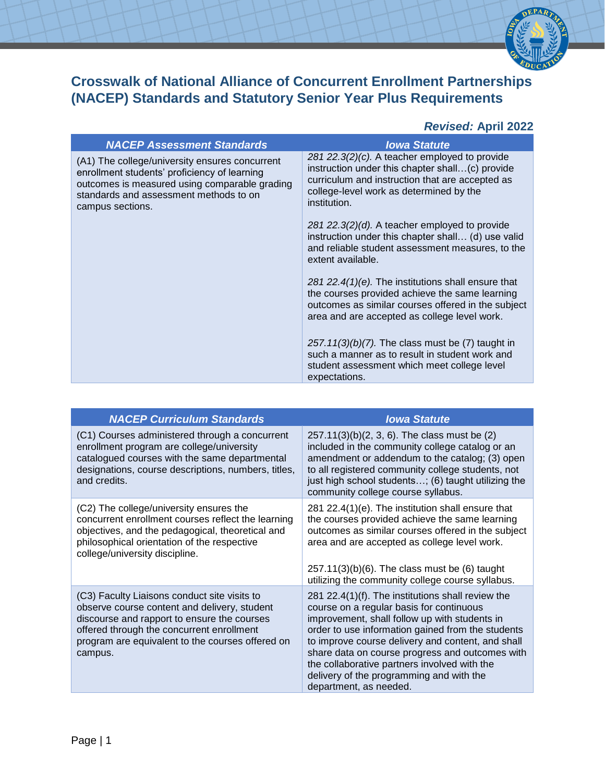

## **Crosswalk of National Alliance of Concurrent Enrollment Partnerships (NACEP) Standards and Statutory Senior Year Plus Requirements**

## *Revised:* **April 2022**

| <b>NACEP Assessment Standards</b>                                                                                                                                                                             | <b>Iowa Statute</b>                                                                                                                                                                                                |
|---------------------------------------------------------------------------------------------------------------------------------------------------------------------------------------------------------------|--------------------------------------------------------------------------------------------------------------------------------------------------------------------------------------------------------------------|
| (A1) The college/university ensures concurrent<br>enrollment students' proficiency of learning<br>outcomes is measured using comparable grading<br>standards and assessment methods to on<br>campus sections. | 281 22.3 $(2)(c)$ . A teacher employed to provide<br>instruction under this chapter shall(c) provide<br>curriculum and instruction that are accepted as<br>college-level work as determined by the<br>institution. |
|                                                                                                                                                                                                               | 281 22.3 $(2)(d)$ . A teacher employed to provide<br>instruction under this chapter shall (d) use valid<br>and reliable student assessment measures, to the<br>extent available.                                   |
|                                                                                                                                                                                                               | 281 22.4(1)(e). The institutions shall ensure that<br>the courses provided achieve the same learning<br>outcomes as similar courses offered in the subject<br>area and are accepted as college level work.         |
|                                                                                                                                                                                                               | $257.11(3)(b)(7)$ . The class must be (7) taught in<br>such a manner as to result in student work and<br>student assessment which meet college level<br>expectations.                                              |

| <b>NACEP Curriculum Standards</b>                                                                                                                                                                                                                       | <b>Iowa Statute</b>                                                                                                                                                                                                                                                                                                                                                                                                               |
|---------------------------------------------------------------------------------------------------------------------------------------------------------------------------------------------------------------------------------------------------------|-----------------------------------------------------------------------------------------------------------------------------------------------------------------------------------------------------------------------------------------------------------------------------------------------------------------------------------------------------------------------------------------------------------------------------------|
| (C1) Courses administered through a concurrent<br>enrollment program are college/university<br>catalogued courses with the same departmental<br>designations, course descriptions, numbers, titles,<br>and credits.                                     | $257.11(3)(b)(2, 3, 6)$ . The class must be (2)<br>included in the community college catalog or an<br>amendment or addendum to the catalog; (3) open<br>to all registered community college students, not<br>just high school students; (6) taught utilizing the<br>community college course syllabus.                                                                                                                            |
| (C2) The college/university ensures the<br>concurrent enrollment courses reflect the learning<br>objectives, and the pedagogical, theoretical and<br>philosophical orientation of the respective<br>college/university discipline.                      | 281 22.4(1)(e). The institution shall ensure that<br>the courses provided achieve the same learning<br>outcomes as similar courses offered in the subject<br>area and are accepted as college level work.                                                                                                                                                                                                                         |
|                                                                                                                                                                                                                                                         | $257.11(3)(b)(6)$ . The class must be (6) taught<br>utilizing the community college course syllabus.                                                                                                                                                                                                                                                                                                                              |
| (C3) Faculty Liaisons conduct site visits to<br>observe course content and delivery, student<br>discourse and rapport to ensure the courses<br>offered through the concurrent enrollment<br>program are equivalent to the courses offered on<br>campus. | 281 22.4(1)(f). The institutions shall review the<br>course on a regular basis for continuous<br>improvement, shall follow up with students in<br>order to use information gained from the students<br>to improve course delivery and content, and shall<br>share data on course progress and outcomes with<br>the collaborative partners involved with the<br>delivery of the programming and with the<br>department, as needed. |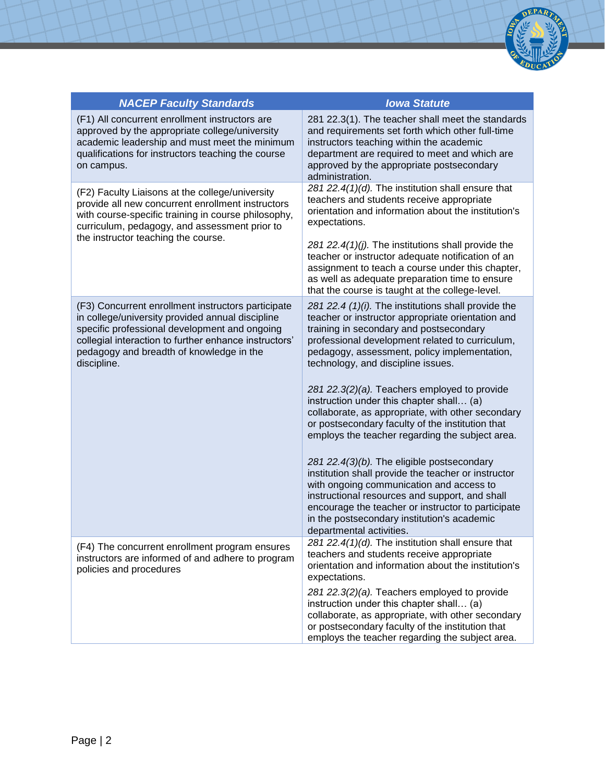

| <b>NACEP Faculty Standards</b>                                                                                                                                                                                                                                              | <b>Iowa Statute</b>                                                                                                                                                                                                                                                                                                              |
|-----------------------------------------------------------------------------------------------------------------------------------------------------------------------------------------------------------------------------------------------------------------------------|----------------------------------------------------------------------------------------------------------------------------------------------------------------------------------------------------------------------------------------------------------------------------------------------------------------------------------|
| (F1) All concurrent enrollment instructors are<br>approved by the appropriate college/university<br>academic leadership and must meet the minimum<br>qualifications for instructors teaching the course<br>on campus.                                                       | 281 22.3(1). The teacher shall meet the standards<br>and requirements set forth which other full-time<br>instructors teaching within the academic<br>department are required to meet and which are<br>approved by the appropriate postsecondary<br>administration.                                                               |
| (F2) Faculty Liaisons at the college/university<br>provide all new concurrent enrollment instructors<br>with course-specific training in course philosophy,<br>curriculum, pedagogy, and assessment prior to<br>the instructor teaching the course.                         | 281 22.4(1)(d). The institution shall ensure that<br>teachers and students receive appropriate<br>orientation and information about the institution's<br>expectations.                                                                                                                                                           |
|                                                                                                                                                                                                                                                                             | 281 22.4(1)(j). The institutions shall provide the<br>teacher or instructor adequate notification of an<br>assignment to teach a course under this chapter,<br>as well as adequate preparation time to ensure<br>that the course is taught at the college-level.                                                                 |
| (F3) Concurrent enrollment instructors participate<br>in college/university provided annual discipline<br>specific professional development and ongoing<br>collegial interaction to further enhance instructors'<br>pedagogy and breadth of knowledge in the<br>discipline. | 281 22.4 (1)(i). The institutions shall provide the<br>teacher or instructor appropriate orientation and<br>training in secondary and postsecondary<br>professional development related to curriculum,<br>pedagogy, assessment, policy implementation,<br>technology, and discipline issues.                                     |
|                                                                                                                                                                                                                                                                             | 281 22.3(2)(a). Teachers employed to provide<br>instruction under this chapter shall (a)<br>collaborate, as appropriate, with other secondary<br>or postsecondary faculty of the institution that<br>employs the teacher regarding the subject area.                                                                             |
|                                                                                                                                                                                                                                                                             | 281 22.4(3)(b). The eligible postsecondary<br>institution shall provide the teacher or instructor<br>with ongoing communication and access to<br>instructional resources and support, and shall<br>encourage the teacher or instructor to participate<br>in the postsecondary institution's academic<br>departmental activities. |
| (F4) The concurrent enrollment program ensures<br>instructors are informed of and adhere to program<br>policies and procedures                                                                                                                                              | 281 22.4(1)(d). The institution shall ensure that<br>teachers and students receive appropriate<br>orientation and information about the institution's<br>expectations.                                                                                                                                                           |
|                                                                                                                                                                                                                                                                             | 281 22.3(2)(a). Teachers employed to provide<br>instruction under this chapter shall (a)<br>collaborate, as appropriate, with other secondary<br>or postsecondary faculty of the institution that<br>employs the teacher regarding the subject area.                                                                             |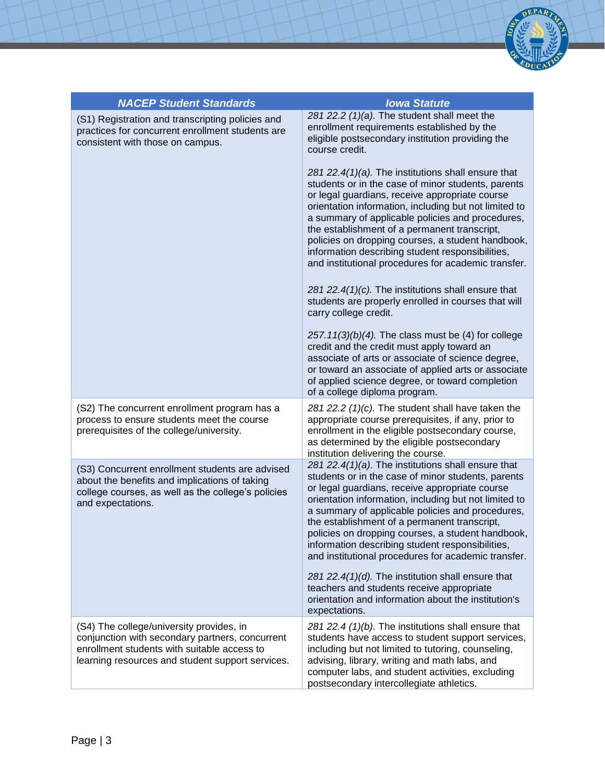

| <b>NACEP Student Standards</b>                                                                                                                                                                 | <b>Iowa Statute</b>                                                                                                                                                                                                                                                                                                                                                                                                                                                                     |
|------------------------------------------------------------------------------------------------------------------------------------------------------------------------------------------------|-----------------------------------------------------------------------------------------------------------------------------------------------------------------------------------------------------------------------------------------------------------------------------------------------------------------------------------------------------------------------------------------------------------------------------------------------------------------------------------------|
| (S1) Registration and transcripting policies and<br>practices for concurrent enrollment students are<br>consistent with those on campus.                                                       | 281 22.2 (1)(a). The student shall meet the<br>enrollment requirements established by the<br>eligible postsecondary institution providing the<br>course credit.                                                                                                                                                                                                                                                                                                                         |
|                                                                                                                                                                                                | 281 22.4(1)(a). The institutions shall ensure that<br>students or in the case of minor students, parents<br>or legal guardians, receive appropriate course<br>orientation information, including but not limited to<br>a summary of applicable policies and procedures,<br>the establishment of a permanent transcript,<br>policies on dropping courses, a student handbook,<br>information describing student responsibilities,<br>and institutional procedures for academic transfer. |
|                                                                                                                                                                                                | 281 22.4 $(1)(c)$ . The institutions shall ensure that<br>students are properly enrolled in courses that will<br>carry college credit.                                                                                                                                                                                                                                                                                                                                                  |
|                                                                                                                                                                                                | $257.11(3)(b)(4)$ . The class must be (4) for college<br>credit and the credit must apply toward an<br>associate of arts or associate of science degree,<br>or toward an associate of applied arts or associate<br>of applied science degree, or toward completion<br>of a college diploma program.                                                                                                                                                                                     |
| (S2) The concurrent enrollment program has a<br>process to ensure students meet the course<br>prerequisites of the college/university.                                                         | 281 22.2 (1)(c). The student shall have taken the<br>appropriate course prerequisites, if any, prior to<br>enrollment in the eligible postsecondary course,<br>as determined by the eligible postsecondary<br>institution delivering the course.                                                                                                                                                                                                                                        |
| (S3) Concurrent enrollment students are advised<br>about the benefits and implications of taking<br>college courses, as well as the college's policies<br>and expectations.                    | 281 22.4(1)(a). The institutions shall ensure that<br>students or in the case of minor students, parents<br>or legal guardians, receive appropriate course<br>orientation information, including but not limited to<br>a summary of applicable policies and procedures,<br>the establishment of a permanent transcript,<br>policies on dropping courses, a student handbook,<br>information describing student responsibilities,<br>and institutional procedures for academic transfer. |
|                                                                                                                                                                                                | 281 22.4(1)(d). The institution shall ensure that<br>teachers and students receive appropriate<br>orientation and information about the institution's<br>expectations.                                                                                                                                                                                                                                                                                                                  |
| (S4) The college/university provides, in<br>conjunction with secondary partners, concurrent<br>enrollment students with suitable access to<br>learning resources and student support services. | 281 22.4 (1)(b). The institutions shall ensure that<br>students have access to student support services,<br>including but not limited to tutoring, counseling,<br>advising, library, writing and math labs, and<br>computer labs, and student activities, excluding<br>postsecondary intercollegiate athletics.                                                                                                                                                                         |